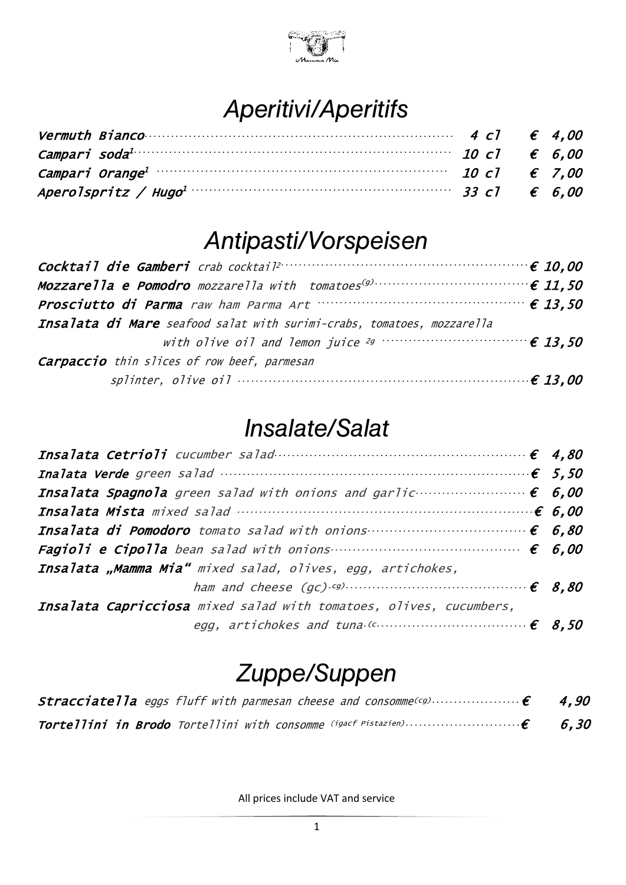

#### *Aperitivi/Aperitifs*

| Vermuth Bianco $\cdots$ $\cdots$ $\cdots$ $\cdots$ $\cdots$ $\cdots$ $\cdots$ $\cdots$ $\cdots$ $\cdots$ $\cdots$ $\cdots$ $\in$ 4.00 |  |  |
|---------------------------------------------------------------------------------------------------------------------------------------|--|--|
| Campari soda <sup>1</sup> $\cdots$ 6.00                                                                                               |  |  |
|                                                                                                                                       |  |  |
|                                                                                                                                       |  |  |

#### *Antipasti/Vorspeisen*

| Cocktail die Gamberi crab cocktail <sup>2</sup> maartamaan van die 10,00 |  |
|--------------------------------------------------------------------------|--|
|                                                                          |  |
|                                                                          |  |
| Insalata di Mare seafood salat with surimi-crabs, tomatoes, mozzarella   |  |
|                                                                          |  |
| <b>Carpaccio</b> thin slices of row beef, parmesan                       |  |
| splinter, olive oil $\cdots$ and $\epsilon$ 13,00                        |  |

#### *Insalate/Salat*

| Insalata "Mamma Mia" mixed salad, olives, egg, artichokes,                      |  |
|---------------------------------------------------------------------------------|--|
| ham and cheese $(gc)$ $(gc)$ $\dots$ $\dots$ $\dots$ $\dots$ $\dots$ $\in$ 8,80 |  |
| Insalata Capricciosa mixed salad with tomatoes, olives, cucumbers,              |  |
| egg, artichokes and tuna $(c \dots \dots \dots \dots \dots \dots \in 8, 50$     |  |

## *Zuppe/Suppen*

| <b>Stracciatella</b> eggs fluff with parmesan cheese and consomme(cg) $\epsilon$ 4,90 |  |
|---------------------------------------------------------------------------------------|--|
|                                                                                       |  |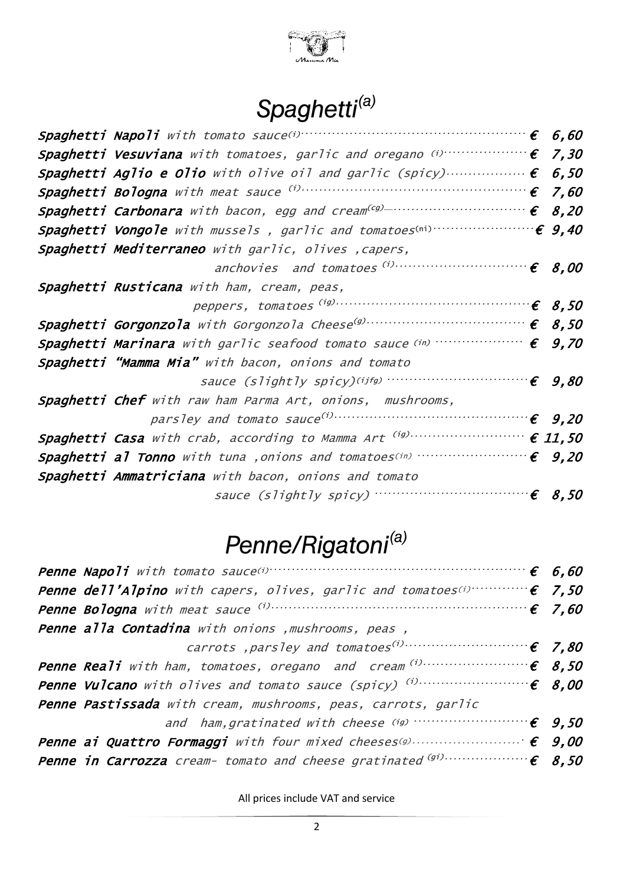

# *Spaghetti(a)*

|                                                                                                                      | 6,60                  |
|----------------------------------------------------------------------------------------------------------------------|-----------------------|
|                                                                                                                      | 7,30                  |
| Spaghetti Aglio e Olio with olive oil and garlic (spicy) $\epsilon$ 6,50                                             |                       |
| <b>Spaghetti Bologna</b> with meat sauce $\left(1, \ldots, 1\right)$ contains the set of $\left(1, \ldots, 0\right)$ |                       |
| <b>Spaghetti Carbonara</b> with bacon, egg and cream <sup>(cg)</sup> contains $\epsilon$ 8,20                        |                       |
| Spaghetti Vongole with mussels, garlic and tomatoes(ni)                                                              | $\epsilon$ 9,40       |
| Spaghetti Mediterraneo with garlic, olives , capers,                                                                 |                       |
| anchovies and tomatoes (i)                                                                                           | $\epsilon$ 8,00       |
| Spaghetti Rusticana with ham, cream, peas,                                                                           |                       |
|                                                                                                                      |                       |
|                                                                                                                      |                       |
| Spaghetti Marinara with garlic seafood tomato sauce (in)<br>$\cdots \epsilon$                                        | 9,70                  |
| Spaghetti "Mamma Mia" with bacon, onions and tomato                                                                  |                       |
| sauce (slightly spicy)(ijfg)                                                                                         | $\epsilon$ 9,80       |
| Spaghetti Chef with raw ham Parma Art, onions, mushrooms,                                                            |                       |
|                                                                                                                      |                       |
|                                                                                                                      |                       |
| Spaghetti al Tonno with tuna , onions and tomatoes(in)                                                               | $\epsilon$ 9,20       |
| Spaghetti Ammatriciana with bacon, onions and tomato                                                                 |                       |
|                                                                                                                      | $\cdot \epsilon$ 8,50 |

# *Penne/Rigatoni(a)*

| <b>Penne Napoli</b> with tomato sauce(i) $\cdots$ $\cdots$ $\cdots$ $\cdots$ $\cdots$ $\cdots$ $\cdots$ $\cdots$ $\in$ 6,60 |  |
|-----------------------------------------------------------------------------------------------------------------------------|--|
| <b>Penne dell'Alpino</b> with capers, olives, garlic and tomatoes $(i)$ $\epsilon$ 7,50                                     |  |
|                                                                                                                             |  |
| Penne alla Contadina with onions , mushrooms, peas,                                                                         |  |
|                                                                                                                             |  |
|                                                                                                                             |  |
|                                                                                                                             |  |
| Penne Pastissada with cream, mushrooms, peas, carrots, garlic                                                               |  |
|                                                                                                                             |  |
|                                                                                                                             |  |
|                                                                                                                             |  |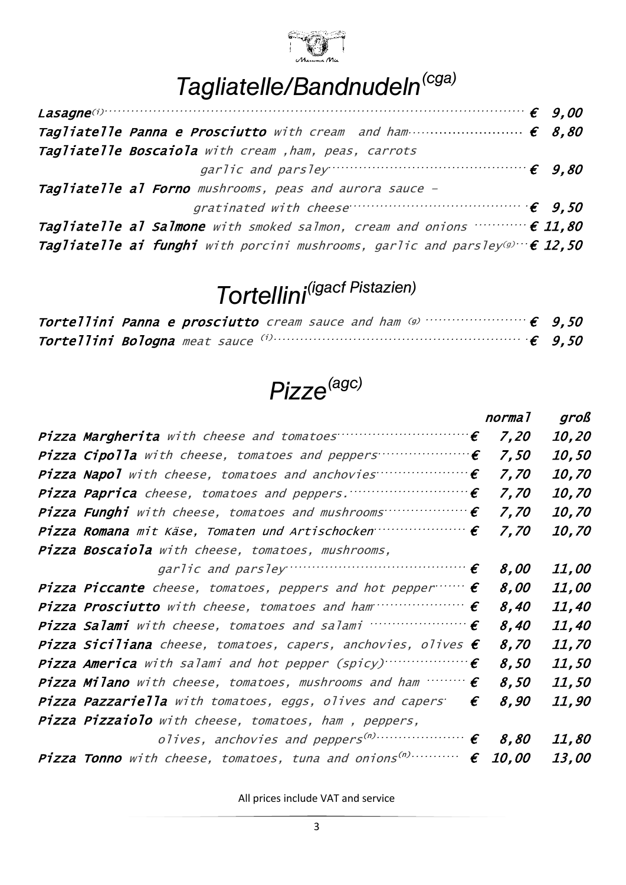

# *Tagliatelle/Bandnudeln(cga)*

| Tagliatelle Panna e Prosciutto with cream and ham $\cdots$ $\cdots$ $\cdots$ $\cdots$ $\in$ 8,80   |  |
|----------------------------------------------------------------------------------------------------|--|
| Tagliatelle Boscaiola with cream , ham, peas, carrots                                              |  |
| garlic and parsley $\cdots$ $\cdots$ $\cdots$ $\cdots$ $\cdots$ $\cdots$ $\cdots$ $\in$ 9.80       |  |
| Tagliatelle al Forno mushrooms, peas and aurora sauce -                                            |  |
| gratinated with cheese $\cdots$ and $\vdots$ 9.50                                                  |  |
| Tagliatelle al Salmone with smoked salmon, cream and onions $\cdots \cdots \in 11,80$              |  |
| <b>Tagliatelle ai funghi</b> with porcini mushrooms, garlic and parsley(g) $\cdot \cdot \in 12,50$ |  |

# *Tortellini(igacf Pistazien)*

# *Pizze(agc)*

|                                                                                        | normal              | groß         |
|----------------------------------------------------------------------------------------|---------------------|--------------|
| Pizza Margherita with cheese and tomatoes $\cdots$ $\cdots$ $\cdots$ $\cdots$          | 7,20                | 10,20        |
| Pizza Cipolla with cheese, tomatoes and peppers $\cdots$                               | 7,50                | <i>10,50</i> |
| Pizza Napol with cheese, tomatoes and anchovies<br>$\cdot \cdot \boldsymbol{\epsilon}$ | 7,70                | <i>10,70</i> |
| Pizza Paprica cheese, tomatoes and peppers.<br>$\boldsymbol{\epsilon}$                 | 7.70                | <i>10,70</i> |
| Pizza Funghi with cheese, tomatoes and mushrooms<br>$\boldsymbol{\epsilon}$            | 7,70                | <i>10,70</i> |
| Pizza Romana mit Käse, Tomaten und Artischocken $\cdots$                               | 7,70                | <i>10,70</i> |
| Pizza Boscaiola with cheese, tomatoes, mushrooms,                                      |                     |              |
| garlic and parsley $\cdots$ $\vdots$                                                   | 8.00                | 11,00        |
| <b>Pizza Piccante</b> cheese, tomatoes, peppers and hot pepper $\cdots$ $\epsilon$     | 8,00                | <i>11,00</i> |
| Pizza Prosciutto with cheese, tomatoes and ham $\cdots$                                | 8,40                | 11,40        |
| Pizza Salami with cheese, tomatoes and salami $\cdots$ $\cdots$                        | 8,40                | 11,40        |
| <b>Pizza Siciliana</b> cheese, tomatoes, capers, anchovies, olives $\epsilon$          | 8,70                | 11,70        |
|                                                                                        | 8,50                | <i>11,50</i> |
| <b>Pizza Milano</b> with cheese, tomatoes, mushrooms and ham $\cdots \cdots \in$       | 8,50                | 11,50        |
| Pizza Pazzariella with tomatoes, eggs, olives and capers<br>$\boldsymbol{\epsilon}$    | 8,90                | 11,90        |
| Pizza Pizzaiolo with cheese, tomatoes, ham , peppers,                                  |                     |              |
|                                                                                        | 8,80                | 11,80        |
| Pizza Tonno with cheese, tomatoes, tuna and onions <sup>(n)</sup><br>€                 | <i><b>10.00</b></i> | <i>13,00</i> |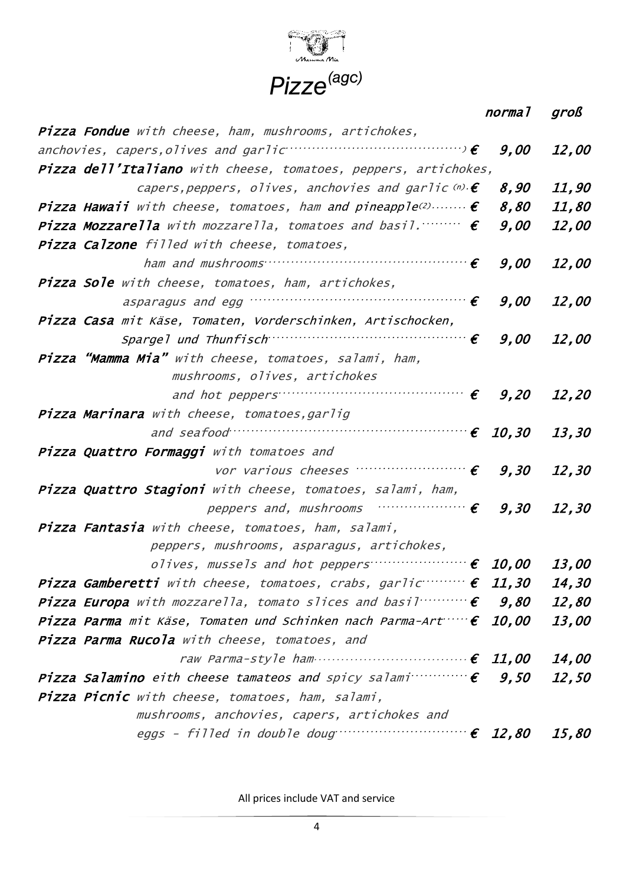

normal groß

| Pizza Fondue with cheese, ham, mushrooms, artichokes,                                               |      |              |
|-----------------------------------------------------------------------------------------------------|------|--------------|
| anchovies, capers, olives and garlic $\cdots$ $\cdots$ $\cdots$ $\cdots$ $\cdots$                   | 9,00 | 12,00        |
| Pizza dell'Italiano with cheese, tomatoes, peppers, artichokes,                                     |      |              |
| capers, peppers, olives, anchovies and garlic $\omega \cdot \boldsymbol{\epsilon}$                  | 8,90 | 11,90        |
| <b>Pizza Hawaii</b> with cheese, tomatoes, ham and pineapple <sup>(2)</sup> $\epsilon$              | 8,80 | 11,80        |
| <b>Pizza Mozzarella</b> with mozzarella, tomatoes and basil. $\cdots$ $\in$                         | 9,00 | 12,00        |
| Pizza Calzone filled with cheese, tomatoes,                                                         |      |              |
| ham and mushrooms $\cdots$ . $\epsilon$                                                             | 9,00 | 12,00        |
| <b>Pizza Sole</b> with cheese, tomatoes, ham, artichokes,                                           |      |              |
| asparagus and egg $\cdots$ and $\epsilon$                                                           | 9,00 | <i>12,00</i> |
| Pizza Casa mit Käse, Tomaten, Vorderschinken, Artischocken,                                         |      |              |
| Spargel und Thunfisch                                                                               | 9,00 | <i>12,00</i> |
| Pizza "Mamma Mia" with cheese, tomatoes, salami, ham,                                               |      |              |
| mushrooms, olives, artichokes                                                                       |      |              |
| and hot peppers $\cdots$ $\cdots$ $\cdots$ $\cdots$ $\cdots$ $\cdots$ $\in$ 9,20 12,20              |      |              |
| <b>Pizza Marinara</b> with cheese, tomatoes, garlig                                                 |      |              |
| and seafood $\cdots$ and seafood $13,30$                                                            |      |              |
| Pizza Quattro Formaggi with tomatoes and                                                            |      |              |
| vor various cheeses $\cdots$ $\cdots$ $\cdots$ $\cdots$ $\cdots$ $\in$ $\qquad$ 9,30 $\qquad$ 12,30 |      |              |
| Pizza Quattro Stagioni with cheese, tomatoes, salami, ham,                                          |      |              |
| peppers and, mushrooms $\cdots$ $\vdots$ 9,30 12,30                                                 |      |              |
| Pizza Fantasia with cheese, tomatoes, ham, salami,                                                  |      |              |
| peppers, mushrooms, asparagus, artichokes,                                                          |      |              |
| olives, mussels and hot peppers $f: [0, 00]$                                                        |      | <i>13,00</i> |
| <b>Pizza Gamberetti</b> with cheese, tomatoes, crabs, garlic $\cdots$ <b>f</b> 11,30 14,30          |      |              |
| <b>Pizza Europa</b> with mozzarella, tomato slices and basil $\cdots$ $\cdots \in$ <b>9,80</b>      |      | 12,80        |
| Pizza Parma mit Käse, Tomaten und Schinken nach Parma-Art $\cdots \in 10,00$                        |      | <i>13,00</i> |
| Pizza Parma Rucola with cheese, tomatoes, and                                                       |      |              |
| raw Parma-style ham $\epsilon$ 11,00                                                                |      | 14,00        |
| <b>Pizza Salamino</b> eith cheese tamateos and spicy salami $\epsilon$ <b>9,50</b>                  |      | 12,50        |
| Pizza Picnic with cheese, tomatoes, ham, salami,                                                    |      |              |
| mushrooms, anchovies, capers, artichokes and                                                        |      |              |
| eggs - filled in double doug $\cdots$ $\cdots$ $\cdots$ $\cdots$ $\in$ 12,80                        |      | <i>15,80</i> |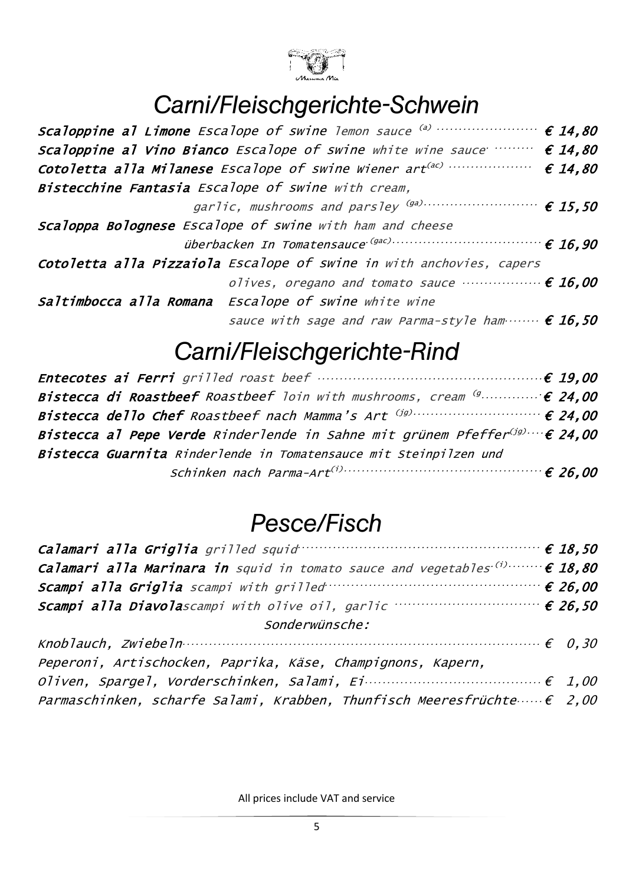

### *Carni/Fleischgerichte-Schwein*

| Scaloppine al Limone Escalope of swine lemon sauce (a)                                     | $\epsilon$ 14,80 |
|--------------------------------------------------------------------------------------------|------------------|
| Scaloppine al Vino Bianco Escalope of swine white wine sauce $\cdots$ $\cdots$ $\in$ 14,80 |                  |
|                                                                                            |                  |
| Bistecchine Fantasia Escalope of swine with cream,                                         |                  |
|                                                                                            |                  |
| Scaloppa Bolognese Escalope of swine with ham and cheese                                   |                  |
| überbacken In Tomatensauce <sup>(gac)</sup>                                                |                  |
| Cotoletta alla Pizzaiola Escalope of swine in with anchovies, capers                       |                  |
| olives, oregano and tomato sauce $\cdots$ $\epsilon$ 16,00                                 |                  |
| Saltimbocca alla Romana Escalope of swine white wine                                       |                  |
| sauce with sage and raw Parma-style ham $\epsilon$ 16,50                                   |                  |
|                                                                                            |                  |

### *Carni/Fleischgerichte-Rind*

| Bistecca di Roastbeef Roastbeef loin with mushrooms, cream $\left(9, \ldots, 1\right) \in 24,00$ |  |
|--------------------------------------------------------------------------------------------------|--|
|                                                                                                  |  |
| Bistecca al Pepe Verde Rinderlende in Sahne mit grünem Pfeffer $(jg) \cdots \in 24.00$           |  |
| Bistecca Guarnita Rinderlende in Tomatensauce mit Steinpilzen und                                |  |
|                                                                                                  |  |

#### *Pesce/Fisch*

| <b>Calamari alla Griglia</b> grilled squid $\cdots$ $\cdots$ $\cdots$ $\cdots$ $\cdots$ $\cdots$ $\in$ 18,50             |  |  |
|--------------------------------------------------------------------------------------------------------------------------|--|--|
| <b>Calamari alla Marinara in</b> squid in tomato sauce and vegetables <sup>(i)</sup> $\epsilon$ 18,80                    |  |  |
| Scampi alla Griglia scampi with grilled $\cdots$ $\cdots$ $\cdots$ $\cdots$ $\cdots$ $\in$ 26.00                         |  |  |
|                                                                                                                          |  |  |
| Sonderwünsche:                                                                                                           |  |  |
| Knoblauch, Zwiebeln $\cdots$ $\cdots$ $\cdots$ $\cdots$ $\cdots$ $\cdots$ $\cdots$ $\cdots$ $\cdots$ $\cdots$ $\in$ 0,30 |  |  |
| Peperoni, Artischocken, Paprika, Käse, Champignons, Kapern,                                                              |  |  |
|                                                                                                                          |  |  |
| Parmaschinken, scharfe Salami, Krabben, Thunfisch Meeresfrüchte $\cdots \in 2,00$                                        |  |  |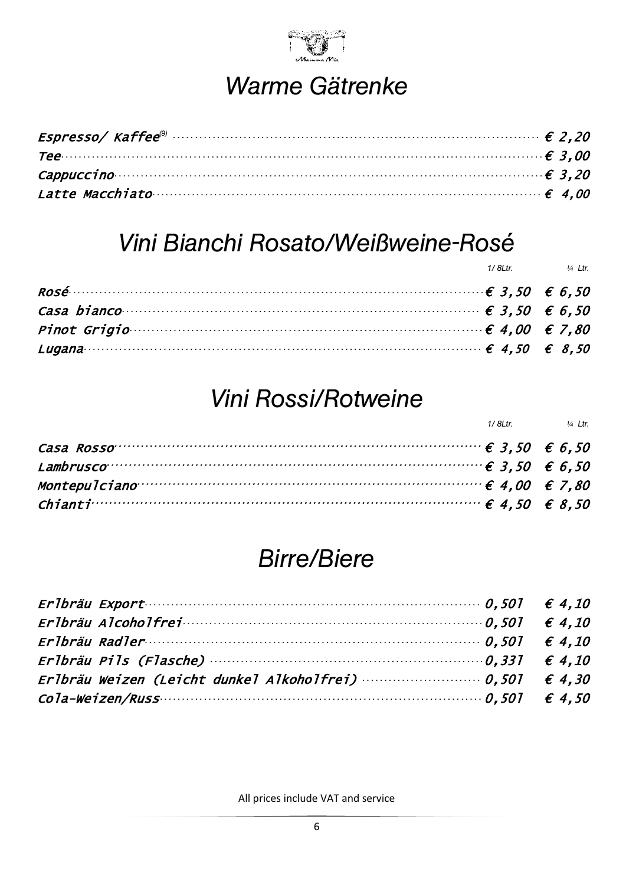

## Warme Gätrenke

| $\tau$ ee $\cdots$ $\epsilon$ 3.00           |  |
|----------------------------------------------|--|
| Cappuccino $\epsilon$ 3.20                   |  |
| Latte Macchiato $\cdots$ and $\epsilon$ 4.00 |  |

#### Vini Bianchi Rosato/Weißweine-Rosé

|                                                                                                                                                                                                                               | 1/8Ltr. $\frac{1}{4}$ Ltr. |
|-------------------------------------------------------------------------------------------------------------------------------------------------------------------------------------------------------------------------------|----------------------------|
|                                                                                                                                                                                                                               |                            |
| Casa bianco component contracto contracto contracto contracto contracto contracto contracto contracto contracto contracto contracto contracto contracto contracto contracto contracto contracto contracto contracto contracto |                            |
| Pinot Grigio                                                                                                                                                                                                                  |                            |
| Lugana $\epsilon$ 8,50 $\epsilon$ 8,50                                                                                                                                                                                        |                            |

### **Vini Rossi/Rotweine**

|                                                                                                                                       | 1/8Ltr. $\frac{1}{4}$ Ltr. |
|---------------------------------------------------------------------------------------------------------------------------------------|----------------------------|
| Casa Rosso $\cdots$ $\cdots$ $\cdots$ $\cdots$ $\cdots$ $\cdots$ $\cdots$ $\cdots$ $\cdots$ $\cdots$ $\cdots$ $\in$ 3, 50 $\in$ 6, 50 |                            |
| Lambrusco <sup>.</sup> $\epsilon$ 6,50 $\epsilon$ 6,50                                                                                |                            |
| Montepulciano $\cdots$ $\cdots$ $\cdots$ $\cdots$ $\cdots$ $\cdots$ $\cdots$ $\cdots$ $\cdots$ $\cdots$ $\in$ 4,00 $\in$ 7,80         |                            |
| <i>Chianti</i> $\cdot$ ∈ 8,50 $\in$ 8,50                                                                                              |                            |

#### **Birre/Biere**

| Erlbräu Export $\cdots$ $\cdots$ $\cdots$ $\cdots$ $\cdots$ $\cdots$ $\cdots$ $\cdots$ $\cdots$ $\cdots$ $\cdots$ $\cdots$ $\cdots$ $\cdots$ $\cdots$ $\cdots$ $\cdots$ $\cdots$ $\cdots$ $\cdots$ $\cdots$ $\cdots$ $\cdots$ $\cdots$ $\cdots$ $\cdots$ $\cdots$ $\cdots$ $\cdots$ $\cdots$ $\cdots$ $\cdots$ $\cdots$ $\cdots$ $\$ |  |
|--------------------------------------------------------------------------------------------------------------------------------------------------------------------------------------------------------------------------------------------------------------------------------------------------------------------------------------|--|
|                                                                                                                                                                                                                                                                                                                                      |  |
|                                                                                                                                                                                                                                                                                                                                      |  |
| Erlbräu Pils (Flasche) $\cdots$ (expansion of the $0.331$ $\in$ 4.10                                                                                                                                                                                                                                                                 |  |
| Erlbräu Weizen (Leicht dunkel Alkoholfrei) $\cdots$ $\cdots$ $\cdots$ $\cdots$ 0,501 $\epsilon$ 4,30                                                                                                                                                                                                                                 |  |
|                                                                                                                                                                                                                                                                                                                                      |  |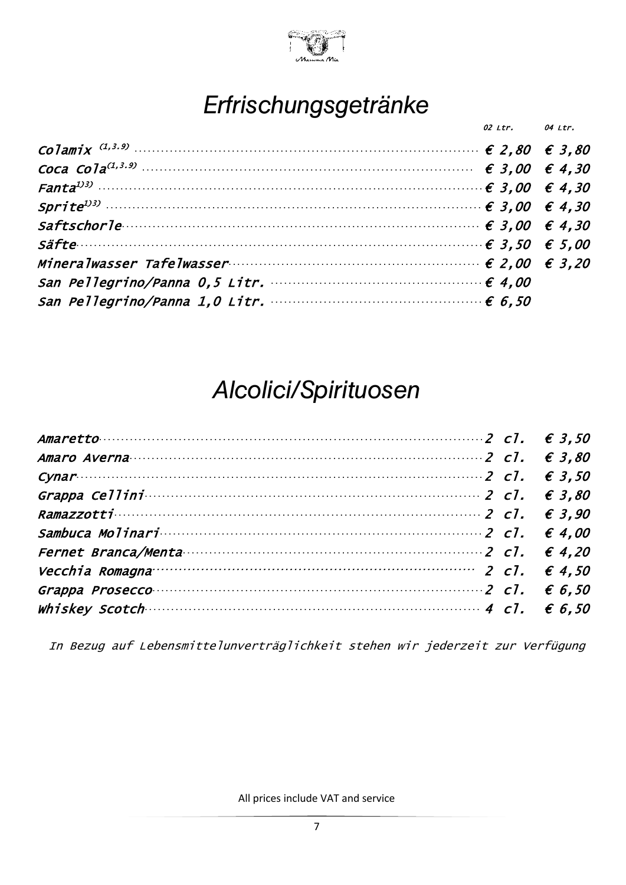

#### Erfrischungsgetränke

| Coca Cola <sup>(1,3.9)</sup> ∴ ∴ ∴ ∴ ∴ ∴ ∴ ∴ ∴ ∴ ∴ ∴ ∴ ∴ ∴ ∴ ∴ ∈ 3,00 € 4,30<br>Saftschorle $\epsilon$ 3,00 $\epsilon$ 4,30<br>$\mathit{S\textsf{a}fte}\qquad \qquad \mathit{6} 3,50 \quad \mathit{6} 5,00$ | 02 Ltr. 04 Ltr. |  |
|-------------------------------------------------------------------------------------------------------------------------------------------------------------------------------------------------------------|-----------------|--|
|                                                                                                                                                                                                             |                 |  |
|                                                                                                                                                                                                             |                 |  |
|                                                                                                                                                                                                             |                 |  |
|                                                                                                                                                                                                             |                 |  |
|                                                                                                                                                                                                             |                 |  |
|                                                                                                                                                                                                             |                 |  |
|                                                                                                                                                                                                             |                 |  |
|                                                                                                                                                                                                             |                 |  |
|                                                                                                                                                                                                             |                 |  |

#### Alcolici/Spirituosen

| Amaretto $\cdots$ $\cdots$ $\cdots$ $\cdots$ $\cdots$ $\cdots$ $\cdots$ $\cdots$ $\cdots$ $\cdots$ $\cdots$ $\cdots$ $\cdots$ $\cdots$ $\cdots$ $\cdots$ $\cdots$ $\cdots$ $\cdots$ $\cdots$ $\cdots$ $\cdots$ $\cdots$ $\cdots$ $\cdots$ $\cdots$ $\cdots$ $\cdots$ $\cdots$ $\cdots$ $\cdots$ $\cdots$ $\cdots$ $\cdots$ $\cdots$ $\$ |  |
|-----------------------------------------------------------------------------------------------------------------------------------------------------------------------------------------------------------------------------------------------------------------------------------------------------------------------------------------|--|
| Amaro Averna $\cdots$ $\cdots$ $\cdots$ $\cdots$ $\cdots$ $\cdots$ $\cdots$ $\cdots$ $\cdots$ $\cdots$ $\cdots$ $\cdots$ $\cdots$ $\cdots$ $\in$ 3.80                                                                                                                                                                                   |  |
| Cynar $\sqrt{2}$ c1. $\in$ 3,50                                                                                                                                                                                                                                                                                                         |  |
|                                                                                                                                                                                                                                                                                                                                         |  |
| Ramazzotti $\epsilon$ 3,90                                                                                                                                                                                                                                                                                                              |  |
|                                                                                                                                                                                                                                                                                                                                         |  |
| Fernet Branca/Menta $\cdots$ expansion of the set of $\ell$ and $\ell$ and $\ell$ and $\ell$ and $\ell$ and $\ell$ and $\ell$ and $\ell$ and $\ell$ and $\ell$ and $\ell$ and $\ell$ and $\ell$ and $\ell$ and $\ell$ and $\ell$ and $\ell$ and $\ell$ and $\ell$ and                                                                   |  |
| Vecchia Romagna $\cdots$ $\cdots$ $\cdots$ $\cdots$ $\cdots$ $\cdots$ $\cdots$ $\cdots$ $\cdots$ $\cdots$ $\cdots$ $\cdots$ $\in$ 4.50                                                                                                                                                                                                  |  |
| Grappa Prosecco $\cdots$ $\cdots$ $\cdots$ $\cdots$ $\cdots$ $\cdots$ $\cdots$ $\cdots$ $\cdots$ $\cdots$ $\cdots$ $\cdots$ $\cdots$ $\in$ 6,50                                                                                                                                                                                         |  |
| Whiskey Scotch $\cdots$ $\cdots$ $\cdots$ $\cdots$ $\cdots$ $\cdots$ $\cdots$ $\cdots$ $\cdots$ $\cdots$ $\cdots$ $\cdots$ $\cdots$ $\in$ 6,50                                                                                                                                                                                          |  |

In Bezug auf Lebensmittelunverträglichkeit stehen wir jederzeit zur Verfügung